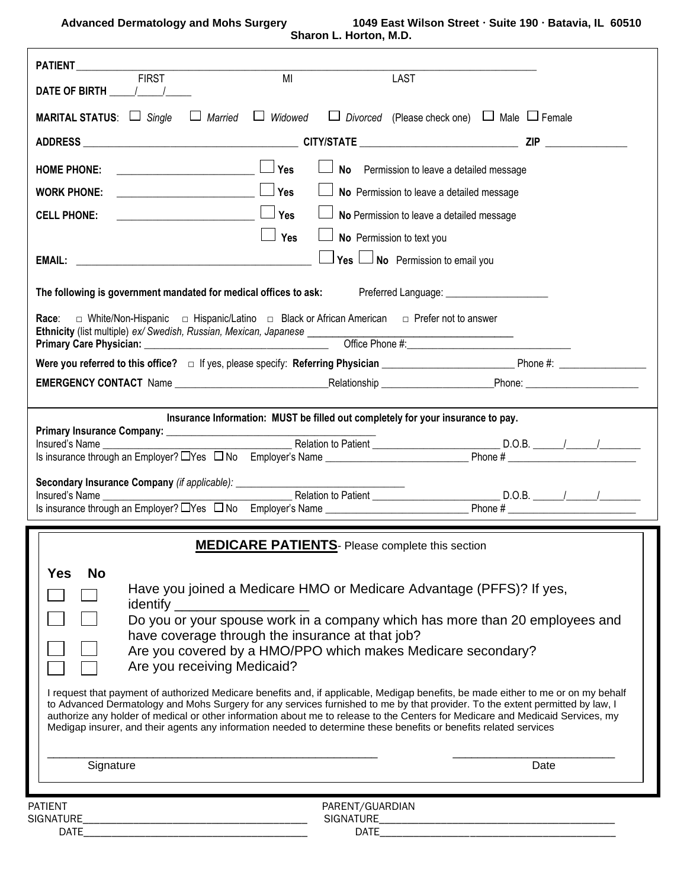**Advanced Dermatology and Mohs Surgery 1049 East Wilson Street Suite 190 Batavia, IL 60510 Sharon L. Horton, M.D.**

| PATIENT<br>FIRST<br>MI<br><b>LAST</b><br>DATE OF BIRTH $\frac{1}{2}$ /                                                                                                                                                                                                                                                                                                                                                                                                                                                                                                                                                                                                                                                                                                                                                                                                                                                                                                                |  |  |  |  |  |
|---------------------------------------------------------------------------------------------------------------------------------------------------------------------------------------------------------------------------------------------------------------------------------------------------------------------------------------------------------------------------------------------------------------------------------------------------------------------------------------------------------------------------------------------------------------------------------------------------------------------------------------------------------------------------------------------------------------------------------------------------------------------------------------------------------------------------------------------------------------------------------------------------------------------------------------------------------------------------------------|--|--|--|--|--|
| $\Box$ Married $\Box$ Widowed $\Box$ Divorced (Please check one) $\Box$ Male $\Box$ Female<br>MARITAL STATUS: Single                                                                                                                                                                                                                                                                                                                                                                                                                                                                                                                                                                                                                                                                                                                                                                                                                                                                  |  |  |  |  |  |
|                                                                                                                                                                                                                                                                                                                                                                                                                                                                                                                                                                                                                                                                                                                                                                                                                                                                                                                                                                                       |  |  |  |  |  |
| $\overline{\phantom{a}}$ $\overline{\phantom{a}}$ $\overline{\phantom{a}}$ $\overline{\phantom{a}}$ $\overline{\phantom{a}}$ $\overline{\phantom{a}}$ $\overline{\phantom{a}}$ $\overline{\phantom{a}}$ $\overline{\phantom{a}}$ $\overline{\phantom{a}}$ $\overline{\phantom{a}}$ $\overline{\phantom{a}}$ $\overline{\phantom{a}}$ $\overline{\phantom{a}}$ $\overline{\phantom{a}}$ $\overline{\phantom{a}}$ $\overline{\phantom{a}}$ $\overline{\phantom{a}}$ $\overline{\$<br>No Permission to leave a detailed message<br><b>HOME PHONE:</b><br>$ Y$ es<br>No Permission to leave a detailed message<br><b>WORK PHONE:</b>                                                                                                                                                                                                                                                                                                                                                      |  |  |  |  |  |
| <b>CELL PHONE:</b><br>No Permission to leave a detailed message                                                                                                                                                                                                                                                                                                                                                                                                                                                                                                                                                                                                                                                                                                                                                                                                                                                                                                                       |  |  |  |  |  |
| $\Box$ Yes<br>No Permission to text you                                                                                                                                                                                                                                                                                                                                                                                                                                                                                                                                                                                                                                                                                                                                                                                                                                                                                                                                               |  |  |  |  |  |
| Yes $\Box$ No Permission to email you                                                                                                                                                                                                                                                                                                                                                                                                                                                                                                                                                                                                                                                                                                                                                                                                                                                                                                                                                 |  |  |  |  |  |
|                                                                                                                                                                                                                                                                                                                                                                                                                                                                                                                                                                                                                                                                                                                                                                                                                                                                                                                                                                                       |  |  |  |  |  |
| The following is government mandated for medical offices to ask: Preferred Language: _______________                                                                                                                                                                                                                                                                                                                                                                                                                                                                                                                                                                                                                                                                                                                                                                                                                                                                                  |  |  |  |  |  |
| Race: $\Box$ White/Non-Hispanic $\Box$ Hispanic/Latino $\Box$ Black or African American $\Box$ Prefer not to answer<br>Ethnicity (list multiple) ex/ Swedish, Russian, Mexican, Japanese ______________                                                                                                                                                                                                                                                                                                                                                                                                                                                                                                                                                                                                                                                                                                                                                                               |  |  |  |  |  |
| Office Phone #:                                                                                                                                                                                                                                                                                                                                                                                                                                                                                                                                                                                                                                                                                                                                                                                                                                                                                                                                                                       |  |  |  |  |  |
|                                                                                                                                                                                                                                                                                                                                                                                                                                                                                                                                                                                                                                                                                                                                                                                                                                                                                                                                                                                       |  |  |  |  |  |
|                                                                                                                                                                                                                                                                                                                                                                                                                                                                                                                                                                                                                                                                                                                                                                                                                                                                                                                                                                                       |  |  |  |  |  |
| Insurance Information: MUST be filled out completely for your insurance to pay.                                                                                                                                                                                                                                                                                                                                                                                                                                                                                                                                                                                                                                                                                                                                                                                                                                                                                                       |  |  |  |  |  |
|                                                                                                                                                                                                                                                                                                                                                                                                                                                                                                                                                                                                                                                                                                                                                                                                                                                                                                                                                                                       |  |  |  |  |  |
| Secondary Insurance Company (if applicable): ___________________________________                                                                                                                                                                                                                                                                                                                                                                                                                                                                                                                                                                                                                                                                                                                                                                                                                                                                                                      |  |  |  |  |  |
|                                                                                                                                                                                                                                                                                                                                                                                                                                                                                                                                                                                                                                                                                                                                                                                                                                                                                                                                                                                       |  |  |  |  |  |
|                                                                                                                                                                                                                                                                                                                                                                                                                                                                                                                                                                                                                                                                                                                                                                                                                                                                                                                                                                                       |  |  |  |  |  |
| <b>MEDICARE PATIENTS</b> - Please complete this section<br><b>No</b><br>Yes<br>Have you joined a Medicare HMO or Medicare Advantage (PFFS)? If yes,<br>identify __<br>Do you or your spouse work in a company which has more than 20 employees and<br>have coverage through the insurance at that job?<br>Are you covered by a HMO/PPO which makes Medicare secondary?<br>Are you receiving Medicaid?<br>I request that payment of authorized Medicare benefits and, if applicable, Medigap benefits, be made either to me or on my behalf<br>to Advanced Dermatology and Mohs Surgery for any services furnished to me by that provider. To the extent permitted by law, I<br>authorize any holder of medical or other information about me to release to the Centers for Medicare and Medicaid Services, my<br>Medigap insurer, and their agents any information needed to determine these benefits or benefits related services<br>Signature<br>Date<br>PATIENT<br>PARENT/GUARDIAN |  |  |  |  |  |
|                                                                                                                                                                                                                                                                                                                                                                                                                                                                                                                                                                                                                                                                                                                                                                                                                                                                                                                                                                                       |  |  |  |  |  |
| SIGNATURE_<br>DATE                                                                                                                                                                                                                                                                                                                                                                                                                                                                                                                                                                                                                                                                                                                                                                                                                                                                                                                                                                    |  |  |  |  |  |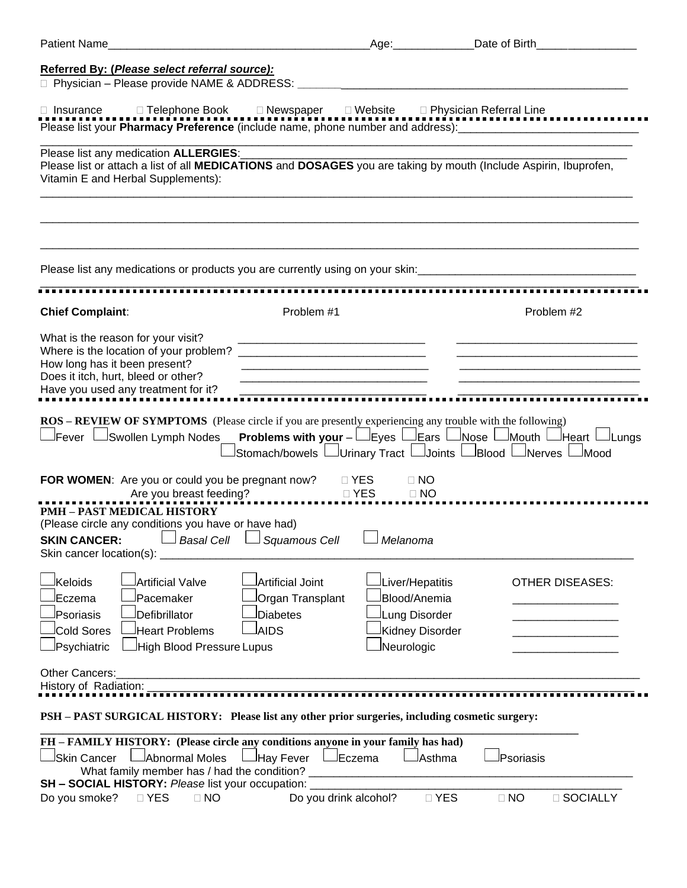| Patient Name                                                                                                                                                                                                                    |                                                                                                                       | Age: Date of Birth                                                                |                                                                                                                                                                 |
|---------------------------------------------------------------------------------------------------------------------------------------------------------------------------------------------------------------------------------|-----------------------------------------------------------------------------------------------------------------------|-----------------------------------------------------------------------------------|-----------------------------------------------------------------------------------------------------------------------------------------------------------------|
| Referred By: (Please select referral source):                                                                                                                                                                                   |                                                                                                                       |                                                                                   |                                                                                                                                                                 |
|                                                                                                                                                                                                                                 |                                                                                                                       |                                                                                   |                                                                                                                                                                 |
| □ Insurance □ Telephone Book □ Newspaper □ Website □ Physician Referral Line<br>Please list your <b>Pharmacy Preference</b> (include name, phone number and address):________________________________                           |                                                                                                                       |                                                                                   |                                                                                                                                                                 |
| Please list any medication ALLERGIES:<br>Please list or attach a list of all MEDICATIONS and DOSAGES you are taking by mouth (Include Aspirin, Ibuprofen,<br>Vitamin E and Herbal Supplements):                                 |                                                                                                                       |                                                                                   |                                                                                                                                                                 |
|                                                                                                                                                                                                                                 |                                                                                                                       |                                                                                   |                                                                                                                                                                 |
| <b>Chief Complaint:</b>                                                                                                                                                                                                         | Problem #1                                                                                                            |                                                                                   | Problem #2                                                                                                                                                      |
| What is the reason for your visit?<br>How long has it been present?<br>Does it itch, hurt, bleed or other?<br>Have you used any treatment for it?                                                                               | <u> 1989 - Johann Barbara, martin da basar da basar da basar da basar da basar da basar da basar da basar da basa</u> |                                                                                   |                                                                                                                                                                 |
| ROS - REVIEW OF SYMPTOMS (Please circle if you are presently experiencing any trouble with the following)                                                                                                                       |                                                                                                                       |                                                                                   | <b>Problems with your</b> - Lieyes Liears $\Box$ Nose $\Box$ Mouth $\Box$ Heart $\Box$ Lungs<br>Stomach/bowels L_Urinary Tract L_Joints L_Blood L_Nerves L_Mood |
| FOR WOMEN: Are you or could you be pregnant now? DYES<br><b>PMH - PAST MEDICAL HISTORY</b><br>(Please circle any conditions you have or have had)<br>SKIN CANCER:<br>Skin cancer location(s): ______________                    | <b>DITES</b><br>Sauamous Cell                                                                                         | $\Box$ NO<br>$\Box$ NO<br>Melanoma                                                |                                                                                                                                                                 |
| Keloids<br>Artificial Valve<br>Pacemaker<br>Eczema<br>Defibrillator<br>Psoriasis<br><b>Cold Sores</b><br>Heart Problems<br>Psychiatric<br><b>High Blood Pressure Lupus</b>                                                      | Artificial Joint<br>Organ Transplant<br><b>Diabetes</b><br><b>AIDS</b>                                                | Liver/Hepatitis<br>Blood/Anemia<br>Lung Disorder<br>Kidney Disorder<br>Neurologic | <b>OTHER DISEASES:</b>                                                                                                                                          |
| Other Cancers:<br>History of Radiation:                                                                                                                                                                                         |                                                                                                                       |                                                                                   |                                                                                                                                                                 |
| PSH - PAST SURGICAL HISTORY: Please list any other prior surgeries, including cosmetic surgery:                                                                                                                                 |                                                                                                                       |                                                                                   |                                                                                                                                                                 |
| FH - FAMILY HISTORY: (Please circle any conditions anyone in your family has had)<br>Abnormal Moles<br><b>Skin Cancer</b><br>What family member has / had the condition?<br>SH - SOCIAL HISTORY: Please list your occupation: _ | JHay Fever LJEczema                                                                                                   | JAsthma                                                                           | Psoriasis                                                                                                                                                       |
| $\Box$ YES<br>$\Box$ NO<br>Do you smoke?                                                                                                                                                                                        | Do you drink alcohol?                                                                                                 | □ YES                                                                             | $\Box$ NO<br>□ SOCIALLY                                                                                                                                         |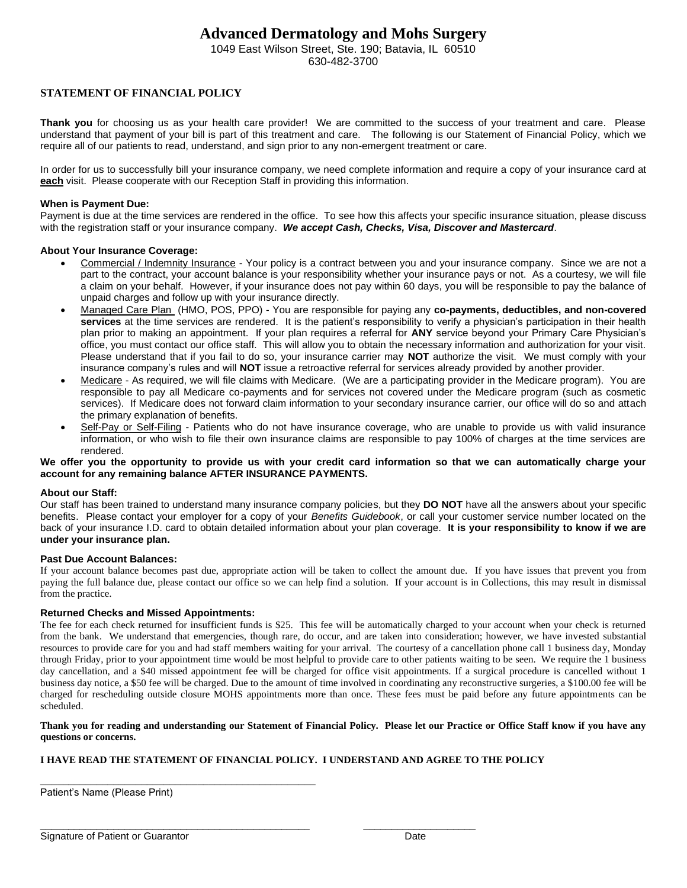## **Advanced Dermatology and Mohs Surgery**

1049 East Wilson Street, Ste. 190; Batavia, IL 60510 630-482-3700

## **STATEMENT OF FINANCIAL POLICY**

**Thank you** for choosing us as your health care provider! We are committed to the success of your treatment and care. Please understand that payment of your bill is part of this treatment and care. The following is our Statement of Financial Policy, which we require all of our patients to read, understand, and sign prior to any non-emergent treatment or care.

In order for us to successfully bill your insurance company, we need complete information and require a copy of your insurance card at **each** visit. Please cooperate with our Reception Staff in providing this information.

#### **When is Payment Due:**

Payment is due at the time services are rendered in the office. To see how this affects your specific insurance situation, please discuss with the registration staff or your insurance company. *We accept Cash, Checks, Visa, Discover and Mastercard*.

#### **About Your Insurance Coverage:**

- Commercial / Indemnity Insurance Your policy is a contract between you and your insurance company. Since we are not a part to the contract, your account balance is your responsibility whether your insurance pays or not. As a courtesy, we will file a claim on your behalf. However, if your insurance does not pay within 60 days, you will be responsible to pay the balance of unpaid charges and follow up with your insurance directly.
- Managed Care Plan (HMO, POS, PPO) You are responsible for paying any **co-payments, deductibles, and non-covered services** at the time services are rendered. It is the patient's responsibility to verify a physician's participation in their health plan prior to making an appointment. If your plan requires a referral for **ANY** service beyond your Primary Care Physician's office, you must contact our office staff. This will allow you to obtain the necessary information and authorization for your visit. Please understand that if you fail to do so, your insurance carrier may **NOT** authorize the visit. We must comply with your insurance company's rules and will **NOT** issue a retroactive referral for services already provided by another provider.
- Medicare As required, we will file claims with Medicare. (We are a participating provider in the Medicare program). You are responsible to pay all Medicare co-payments and for services not covered under the Medicare program (such as cosmetic services). If Medicare does not forward claim information to your secondary insurance carrier, our office will do so and attach the primary explanation of benefits.
- Self-Pay or Self-Filing Patients who do not have insurance coverage, who are unable to provide us with valid insurance information, or who wish to file their own insurance claims are responsible to pay 100% of charges at the time services are rendered.

**We offer you the opportunity to provide us with your credit card information so that we can automatically charge your account for any remaining balance AFTER INSURANCE PAYMENTS.** 

#### **About our Staff:**

Our staff has been trained to understand many insurance company policies, but they **DO NOT** have all the answers about your specific benefits. Please contact your employer for a copy of your *Benefits Guidebook*, or call your customer service number located on the back of your insurance I.D. card to obtain detailed information about your plan coverage. **It is your responsibility to know if we are under your insurance plan.** 

#### **Past Due Account Balances:**

If your account balance becomes past due, appropriate action will be taken to collect the amount due. If you have issues that prevent you from paying the full balance due, please contact our office so we can help find a solution. If your account is in Collections, this may result in dismissal from the practice.

#### **Returned Checks and Missed Appointments:**

The fee for each check returned for insufficient funds is \$25. This fee will be automatically charged to your account when your check is returned from the bank. We understand that emergencies, though rare, do occur, and are taken into consideration; however, we have invested substantial resources to provide care for you and had staff members waiting for your arrival. The courtesy of a cancellation phone call 1 business day, Monday through Friday, prior to your appointment time would be most helpful to provide care to other patients waiting to be seen. We require the 1 business day cancellation, and a \$40 missed appointment fee will be charged for office visit appointments. If a surgical procedure is cancelled without 1 business day notice, a \$50 fee will be charged. Due to the amount of time involved in coordinating any reconstructive surgeries, a \$100.00 fee will be charged for rescheduling outside closure MOHS appointments more than once. These fees must be paid before any future appointments can be scheduled.

#### **Thank you for reading and understanding our Statement of Financial Policy. Please let our Practice or Office Staff know if you have any questions or concerns.**

#### **I HAVE READ THE STATEMENT OF FINANCIAL POLICY. I UNDERSTAND AND AGREE TO THE POLICY**

**\_\_\_\_\_\_\_\_\_\_\_\_\_\_\_\_\_\_\_\_\_\_\_\_\_\_\_\_\_\_\_\_\_\_\_\_\_\_\_\_\_\_\_\_\_\_\_\_\_** Patient's Name (Please Print)

 $\overline{\phantom{a}}$  , and the contribution of the contribution of the contribution of  $\overline{\phantom{a}}$  ,  $\overline{\phantom{a}}$  ,  $\overline{\phantom{a}}$  ,  $\overline{\phantom{a}}$  ,  $\overline{\phantom{a}}$  ,  $\overline{\phantom{a}}$  ,  $\overline{\phantom{a}}$  ,  $\overline{\phantom{a}}$  ,  $\overline{\phantom{a}}$  ,  $\overline{\phantom{a}}$  ,  $\over$ Signature of Patient or Guarantor **Date Date** Date **Date**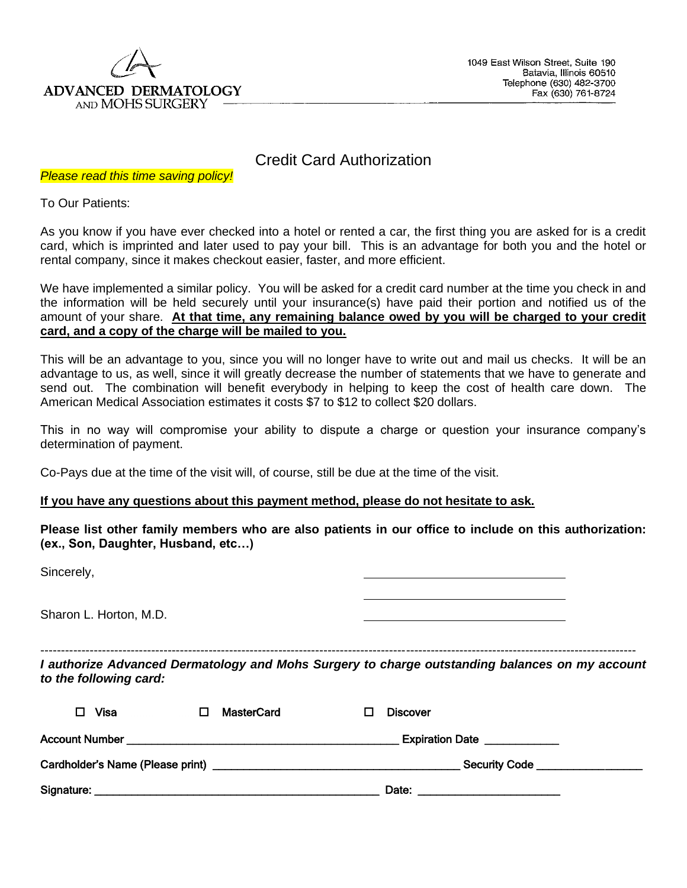

## Credit Card Authorization

*Please read this time saving policy!*

To Our Patients:

As you know if you have ever checked into a hotel or rented a car, the first thing you are asked for is a credit card, which is imprinted and later used to pay your bill. This is an advantage for both you and the hotel or rental company, since it makes checkout easier, faster, and more efficient.

We have implemented a similar policy. You will be asked for a credit card number at the time you check in and the information will be held securely until your insurance(s) have paid their portion and notified us of the amount of your share. **At that time, any remaining balance owed by you will be charged to your credit card, and a copy of the charge will be mailed to you.**

This will be an advantage to you, since you will no longer have to write out and mail us checks. It will be an advantage to us, as well, since it will greatly decrease the number of statements that we have to generate and send out. The combination will benefit everybody in helping to keep the cost of health care down. The American Medical Association estimates it costs \$7 to \$12 to collect \$20 dollars.

This in no way will compromise your ability to dispute a charge or question your insurance company's determination of payment.

Co-Pays due at the time of the visit will, of course, still be due at the time of the visit.

## **If you have any questions about this payment method, please do not hesitate to ask.**

**Please list other family members who are also patients in our office to include on this authorization: (ex., Son, Daughter, Husband, etc…)**

| Sincerely,             |   |                   |   |                 |                                                                                                                                     |  |
|------------------------|---|-------------------|---|-----------------|-------------------------------------------------------------------------------------------------------------------------------------|--|
| Sharon L. Horton, M.D. |   |                   |   |                 |                                                                                                                                     |  |
| to the following card: |   |                   |   |                 | ---------------------------------<br>I authorize Advanced Dermatology and Mohs Surgery to charge outstanding balances on my account |  |
| Visa<br>П.             | □ | <b>MasterCard</b> | П | <b>Discover</b> |                                                                                                                                     |  |
|                        |   |                   |   |                 | Expiration Date                                                                                                                     |  |
|                        |   |                   |   |                 |                                                                                                                                     |  |
|                        |   |                   |   | Date:           |                                                                                                                                     |  |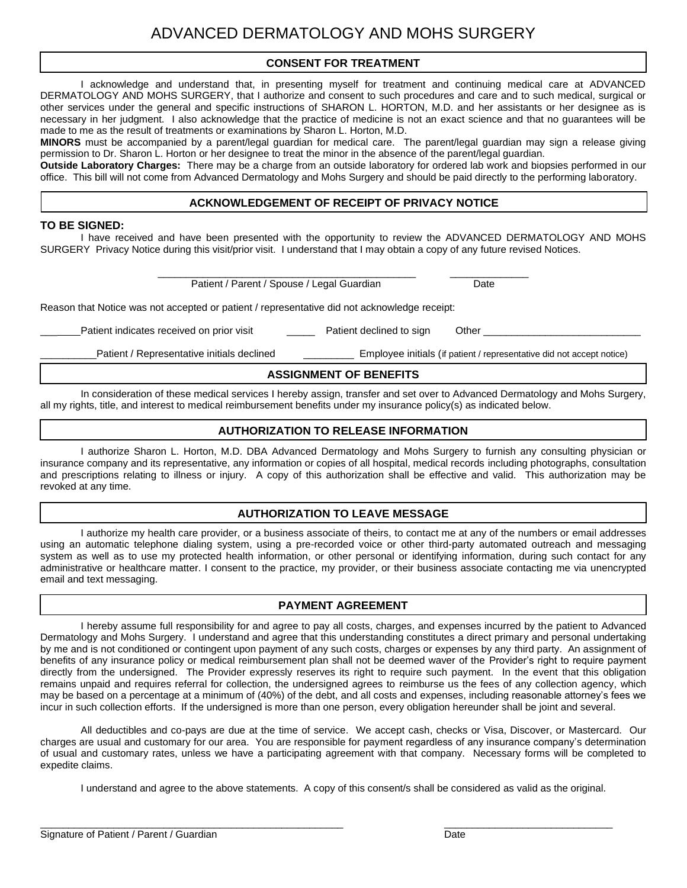## **CONSENT FOR TREATMENT**

I acknowledge and understand that, in presenting myself for treatment and continuing medical care at ADVANCED DERMATOLOGY AND MOHS SURGERY, that I authorize and consent to such procedures and care and to such medical, surgical or other services under the general and specific instructions of SHARON L. HORTON, M.D. and her assistants or her designee as is necessary in her judgment. I also acknowledge that the practice of medicine is not an exact science and that no guarantees will be made to me as the result of treatments or examinations by Sharon L. Horton, M.D.

**MINORS** must be accompanied by a parent/legal guardian for medical care. The parent/legal guardian may sign a release giving permission to Dr. Sharon L. Horton or her designee to treat the minor in the absence of the parent/legal guardian.

**Outside Laboratory Charges:** There may be a charge from an outside laboratory for ordered lab work and biopsies performed in our office. This bill will not come from Advanced Dermatology and Mohs Surgery and should be paid directly to the performing laboratory.

## **ACKNOWLEDGEMENT OF RECEIPT OF PRIVACY NOTICE**

### **TO BE SIGNED:**

I have received and have been presented with the opportunity to review the ADVANCED DERMATOLOGY AND MOHS SURGERY Privacy Notice during this visit/prior visit. I understand that I may obtain a copy of any future revised Notices.

Patient / Parent / Spouse / Legal Guardian Date

\_\_\_\_\_\_\_\_\_\_\_\_\_\_\_\_\_\_\_\_\_\_\_\_\_\_\_\_\_\_\_\_\_\_\_\_\_\_\_\_\_\_\_\_\_\_ \_\_\_\_\_\_\_\_\_\_\_\_\_\_

Reason that Notice was not accepted or patient / representative did not acknowledge receipt:

Patient indicates received on prior visit **Patient declined to sign** Other

Patient / Representative initials declined **Employee initials (if patient / representative did not accept notice)** 

## **ASSIGNMENT OF BENEFITS**

In consideration of these medical services I hereby assign, transfer and set over to Advanced Dermatology and Mohs Surgery, all my rights, title, and interest to medical reimbursement benefits under my insurance policy(s) as indicated below.

### **AUTHORIZATION TO RELEASE INFORMATION**

I authorize Sharon L. Horton, M.D. DBA Advanced Dermatology and Mohs Surgery to furnish any consulting physician or insurance company and its representative, any information or copies of all hospital, medical records including photographs, consultation and prescriptions relating to illness or injury. A copy of this authorization shall be effective and valid. This authorization may be revoked at any time.

## **AUTHORIZATION TO LEAVE MESSAGE**

I authorize my health care provider, or a business associate of theirs, to contact me at any of the numbers or email addresses using an automatic telephone dialing system, using a pre-recorded voice or other third-party automated outreach and messaging system as well as to use my protected health information, or other personal or identifying information, during such contact for any administrative or healthcare matter. I consent to the practice, my provider, or their business associate contacting me via unencrypted email and text messaging.

## **PAYMENT AGREEMENT**

I hereby assume full responsibility for and agree to pay all costs, charges, and expenses incurred by the patient to Advanced Dermatology and Mohs Surgery. I understand and agree that this understanding constitutes a direct primary and personal undertaking by me and is not conditioned or contingent upon payment of any such costs, charges or expenses by any third party. An assignment of benefits of any insurance policy or medical reimbursement plan shall not be deemed waver of the Provider's right to require payment directly from the undersigned. The Provider expressly reserves its right to require such payment. In the event that this obligation remains unpaid and requires referral for collection, the undersigned agrees to reimburse us the fees of any collection agency, which may be based on a percentage at a minimum of (40%) of the debt, and all costs and expenses, including reasonable attorney's fees we incur in such collection efforts. If the undersigned is more than one person, every obligation hereunder shall be joint and several.

All deductibles and co-pays are due at the time of service. We accept cash, checks or Visa, Discover, or Mastercard. Our charges are usual and customary for our area. You are responsible for payment regardless of any insurance company's determination of usual and customary rates, unless we have a participating agreement with that company. Necessary forms will be completed to expedite claims.

I understand and agree to the above statements. A copy of this consent/s shall be considered as valid as the original.

 $\frac{1}{2}$  ,  $\frac{1}{2}$  ,  $\frac{1}{2}$  ,  $\frac{1}{2}$  ,  $\frac{1}{2}$  ,  $\frac{1}{2}$  ,  $\frac{1}{2}$  ,  $\frac{1}{2}$  ,  $\frac{1}{2}$  ,  $\frac{1}{2}$  ,  $\frac{1}{2}$  ,  $\frac{1}{2}$  ,  $\frac{1}{2}$  ,  $\frac{1}{2}$  ,  $\frac{1}{2}$  ,  $\frac{1}{2}$  ,  $\frac{1}{2}$  ,  $\frac{1}{2}$  ,  $\frac{1$